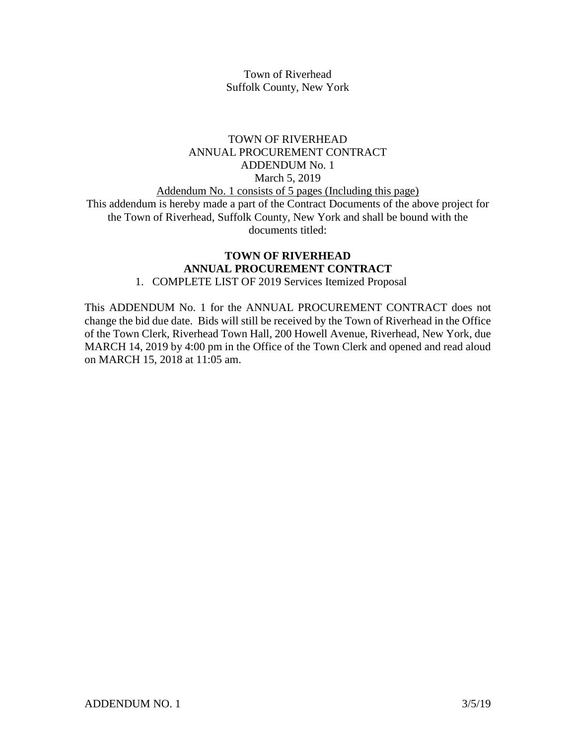Town of Riverhead Suffolk County, New York

# TOWN OF RIVERHEAD ANNUAL PROCUREMENT CONTRACT ADDENDUM No. 1 March 5, 2019 Addendum No. 1 consists of 5 pages (Including this page) This addendum is hereby made a part of the Contract Documents of the above project for the Town of Riverhead, Suffolk County, New York and shall be bound with the documents titled:

# **TOWN OF RIVERHEAD ANNUAL PROCUREMENT CONTRACT**

# 1. COMPLETE LIST OF 2019 Services Itemized Proposal

This ADDENDUM No. 1 for the ANNUAL PROCUREMENT CONTRACT does not change the bid due date. Bids will still be received by the Town of Riverhead in the Office of the Town Clerk, Riverhead Town Hall, 200 Howell Avenue, Riverhead, New York, due MARCH 14, 2019 by 4:00 pm in the Office of the Town Clerk and opened and read aloud on MARCH 15, 2018 at 11:05 am.

ADDENDUM NO. 1 3/5/19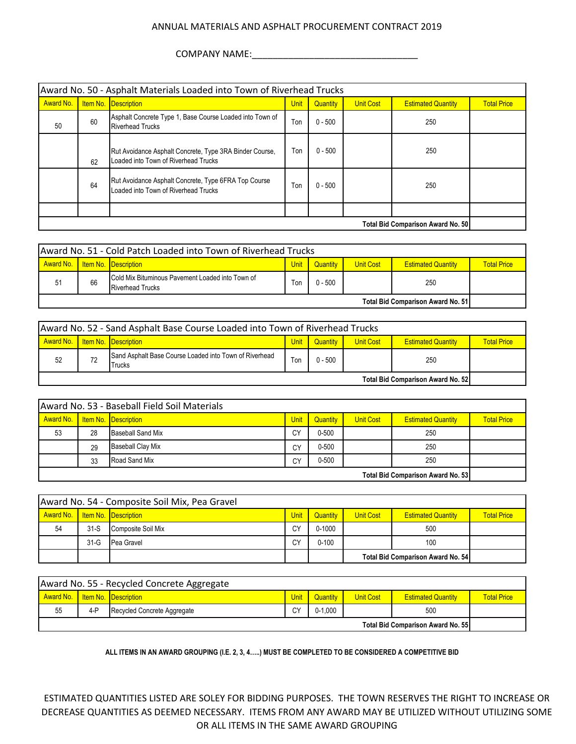# COMPANY NAME:\_\_\_\_\_\_\_\_\_\_\_\_\_\_\_\_\_\_\_\_\_\_\_\_\_\_\_\_\_\_\_\_

|                                          | Award No. 50 - Asphalt Materials Loaded into Town of Riverhead Trucks |                                                                                                 |             |           |                  |                           |                    |  |  |  |  |
|------------------------------------------|-----------------------------------------------------------------------|-------------------------------------------------------------------------------------------------|-------------|-----------|------------------|---------------------------|--------------------|--|--|--|--|
| Award No.                                |                                                                       | <b>Item No. Description</b>                                                                     | <b>Unit</b> | Quantity  | <b>Unit Cost</b> | <b>Estimated Quantity</b> | <b>Total Price</b> |  |  |  |  |
| 50                                       | 60                                                                    | Asphalt Concrete Type 1, Base Course Loaded into Town of<br><b>Riverhead Trucks</b>             | Ton         | $0 - 500$ |                  | 250                       |                    |  |  |  |  |
|                                          | 62                                                                    | Rut Avoidance Asphalt Concrete, Type 3RA Binder Course,<br>Loaded into Town of Riverhead Trucks | Ton         | $0 - 500$ |                  | 250                       |                    |  |  |  |  |
|                                          | 64                                                                    | Rut Avoidance Asphalt Concrete, Type 6FRA Top Course<br>Loaded into Town of Riverhead Trucks    | Ton         | $0 - 500$ |                  | 250                       |                    |  |  |  |  |
|                                          |                                                                       |                                                                                                 |             |           |                  |                           |                    |  |  |  |  |
| <b>Total Bid Comparison Award No. 50</b> |                                                                       |                                                                                                 |             |           |                  |                           |                    |  |  |  |  |

| Award No. 51 - Cold Patch Loaded into Town of Riverhead Trucks |                                                                                                                               |  |  |  |  |  |  |  |
|----------------------------------------------------------------|-------------------------------------------------------------------------------------------------------------------------------|--|--|--|--|--|--|--|
| Award No.                                                      | <b>Item No. Description</b><br><b>Unit</b><br><b>Unit Cost</b><br>Quantity<br><b>Estimated Quantity</b><br><b>Total Price</b> |  |  |  |  |  |  |  |
| 51                                                             | <b>Cold Mix Bituminous Pavement Loaded into Town of</b><br>Ton<br>66<br>$0 - 500$<br>250<br><b>Riverhead Trucks</b>           |  |  |  |  |  |  |  |
| <b>Total Bid Comparison Award No. 511</b>                      |                                                                                                                               |  |  |  |  |  |  |  |

| Award No. 52 - Sand Asphalt Base Course Loaded into Town of Riverhead Trucks |                                                                                                                           |  |  |  |  |  |  |  |
|------------------------------------------------------------------------------|---------------------------------------------------------------------------------------------------------------------------|--|--|--|--|--|--|--|
|                                                                              | Award No. Item No. Description<br>Unit<br><b>Unit Cost</b><br>Quantity<br><b>Estimated Quantity</b><br><b>Total Price</b> |  |  |  |  |  |  |  |
| 52                                                                           | Sand Asphalt Base Course Loaded into Town of Riverhead<br>Ton<br>$0 - 500$<br>72<br>250<br>Trucks                         |  |  |  |  |  |  |  |
| Total Bid Comparison Award No. 52                                            |                                                                                                                           |  |  |  |  |  |  |  |

| Award No. 53 - Baseball Field Soil Materials |    |                             |             |                 |                  |                           |                    |  |
|----------------------------------------------|----|-----------------------------|-------------|-----------------|------------------|---------------------------|--------------------|--|
| Award No.                                    |    | <b>Item No. Description</b> | <b>Unit</b> | <b>Quantity</b> | <b>Unit Cost</b> | <b>Estimated Quantity</b> | <b>Total Price</b> |  |
| 53                                           | 28 | <b>Baseball Sand Mix</b>    | CY          | $0 - 500$       |                  | 250                       |                    |  |
|                                              | 29 | <b>Baseball Clay Mix</b>    | CY          | $0 - 500$       |                  | 250                       |                    |  |
|                                              | 33 | Road Sand Mix               | CY          | $0 - 500$       |                  | 250                       |                    |  |
| <b>Total Bid Comparison Award No. 53</b>     |    |                             |             |                 |                  |                           |                    |  |

| Award No. 54 - Composite Soil Mix, Pea Gravel |        |                             |             |            |                  |                                          |                    |  |  |
|-----------------------------------------------|--------|-----------------------------|-------------|------------|------------------|------------------------------------------|--------------------|--|--|
| <b>Award No.</b>                              |        | <b>Item No. Description</b> | <b>Unit</b> | Quantity   | <b>Unit Cost</b> | <b>Estimated Quantity</b>                | <b>Total Price</b> |  |  |
| 54                                            | $31-S$ | Composite Soil Mix          | СY          | $0 - 1000$ |                  | 500                                      |                    |  |  |
|                                               | 31-G   | Pea Gravel                  | СY          | $0 - 100$  |                  | 100                                      |                    |  |  |
|                                               |        |                             |             |            |                  | <b>Total Bid Comparison Award No. 54</b> |                    |  |  |

| Award No. 55 - Recycled Concrete Aggregate |     |                             |      |             |                  |                           |                    |  |
|--------------------------------------------|-----|-----------------------------|------|-------------|------------------|---------------------------|--------------------|--|
| <b>Award No.</b>                           |     | <b>Item No. Description</b> | Unit | Quantitv    | <b>Unit Cost</b> | <b>Estimated Quantity</b> | <b>Total Price</b> |  |
| 55                                         | 4-P | Recycled Concrete Aggregate | CY   | $0 - 1.000$ |                  | 500                       |                    |  |
| <b>Total Bid Comparison Award No. 55</b>   |     |                             |      |             |                  |                           |                    |  |

**ALL ITEMS IN AN AWARD GROUPING (I.E. 2, 3, 4…..) MUST BE COMPLETED TO BE CONSIDERED A COMPETITIVE BID**

ESTIMATED QUANTITIES LISTED ARE SOLEY FOR BIDDING PURPOSES. THE TOWN RESERVES THE RIGHT TO INCREASE OR DECREASE QUANTITIES AS DEEMED NECESSARY. ITEMS FROM ANY AWARD MAY BE UTILIZED WITHOUT UTILIZING SOME OR ALL ITEMS IN THE SAME AWARD GROUPING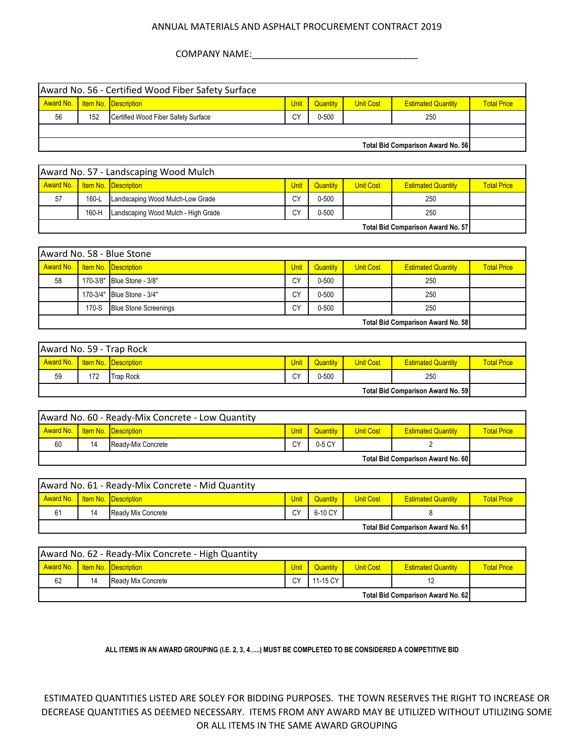COMPANY NAME:\_\_\_\_\_\_\_\_\_\_\_\_\_\_\_\_\_\_\_\_\_\_\_\_\_\_\_\_\_\_\_\_

| Award No. 56 - Certified Wood Fiber Safety Surface |     |                                     |             |           |                  |                           |                    |
|----------------------------------------------------|-----|-------------------------------------|-------------|-----------|------------------|---------------------------|--------------------|
| Award No.                                          |     | Item No. Description                | <b>Unit</b> | Quantity  | <b>Unit Cost</b> | <b>Estimated Quantity</b> | <b>Total Price</b> |
| 56                                                 | 152 | Certified Wood Fiber Safety Surface | СY          | $0 - 500$ |                  | 250                       |                    |
|                                                    |     |                                     |             |           |                  |                           |                    |
| <b>Total Bid Comparison Award No. 56</b>           |     |                                     |             |           |                  |                           |                    |

| Award No. 57 - Landscaping Wood Mulch                                  |       |                                  |      |                 |                  |                           |                    |  |
|------------------------------------------------------------------------|-------|----------------------------------|------|-----------------|------------------|---------------------------|--------------------|--|
| Award No.   Item No.   Description                                     |       |                                  | Unit | <b>Quantity</b> | <b>Unit Cost</b> | <b>Estimated Quantity</b> | <b>Total Price</b> |  |
| 57                                                                     | 160-L | Landscaping Wood Mulch-Low Grade | СY   | $0 - 500$       |                  | 250                       |                    |  |
| $0 - 500$<br>СY<br>160-H<br>Landscaping Wood Mulch - High Grade<br>250 |       |                                  |      |                 |                  |                           |                    |  |
| <b>Total Bid Comparison Award No. 57</b>                               |       |                                  |      |                 |                  |                           |                    |  |

| Award No. 58 - Blue Stone                |       |                              |                   |           |                  |                           |                    |  |
|------------------------------------------|-------|------------------------------|-------------------|-----------|------------------|---------------------------|--------------------|--|
| Award No. Item No. Description           |       |                              | Unit <sub>1</sub> | Quantity  | <b>Unit Cost</b> | <b>Estimated Quantity</b> | <b>Total Price</b> |  |
| 58                                       |       | 170-3/8" Blue Stone - 3/8"   | CY                | $0 - 500$ |                  | 250                       |                    |  |
|                                          |       | 170-3/4" Blue Stone - 3/4"   | CY                | $0 - 500$ |                  | 250                       |                    |  |
|                                          | 170-S | <b>Blue Stone Screenings</b> | CY                | $0 - 500$ |                  | 250                       |                    |  |
| <b>Total Bid Comparison Award No. 58</b> |       |                              |                   |           |                  |                           |                    |  |

| Award No. 59 - Trap Rock                  |     |                  |      |           |                  |                           |                    |  |  |
|-------------------------------------------|-----|------------------|------|-----------|------------------|---------------------------|--------------------|--|--|
| Award No. Item No. Description            |     |                  | Unit | Quantity  | <b>Unit Cost</b> | <b>Estimated Quantity</b> | <b>Total Price</b> |  |  |
| 59                                        | 172 | <b>Trap Rock</b> | CY   | $0 - 500$ |                  | 250                       |                    |  |  |
| <b>Total Bid Comparison Award No. 591</b> |     |                  |      |           |                  |                           |                    |  |  |

| Award No. 60 - Ready-Mix Concrete - Low Quantity |    |                    |      |          |                  |                           |                    |  |
|--------------------------------------------------|----|--------------------|------|----------|------------------|---------------------------|--------------------|--|
| <b>Award No. I Item No. Description</b>          |    |                    | Unit | Quantity | <b>Unit Cost</b> | <b>Estimated Quantity</b> | <b>Total Price</b> |  |
| 60                                               | 14 | Ready-Mix Concrete | CY   | 0-5 CY   |                  |                           |                    |  |
| Total Bid Comparison Award No. 60                |    |                    |      |          |                  |                           |                    |  |

| Award No. 61 - Ready-Mix Concrete - Mid Quantity |    |                                    |      |          |                  |                           |                    |  |  |
|--------------------------------------------------|----|------------------------------------|------|----------|------------------|---------------------------|--------------------|--|--|
|                                                  |    | Award No.   Item No.   Description | Unit | Quantity | <b>Unit Cost</b> | <b>Estimated Quantity</b> | <b>Total Price</b> |  |  |
| 61                                               | 14 | Ready Mix Concrete                 | СY   | 6-10 CY  |                  |                           |                    |  |  |
| <b>Total Bid Comparison Award No. 61</b>         |    |                                    |      |          |                  |                           |                    |  |  |

| Award No. 62 - Ready-Mix Concrete - High Quantity |    |                    |             |                 |                  |                           |                    |
|---------------------------------------------------|----|--------------------|-------------|-----------------|------------------|---------------------------|--------------------|
| Award No. Item No. Description                    |    |                    | <b>Unit</b> | <b>Quantity</b> | <b>Unit Cost</b> | <b>Estimated Quantity</b> | <b>Total Price</b> |
| 62                                                | 14 | Ready Mix Concrete | СY          | 11-15 CY        |                  | 12                        |                    |
| <b>Total Bid Comparison Award No. 621</b>         |    |                    |             |                 |                  |                           |                    |

## **ALL ITEMS IN AN AWARD GROUPING (I.E. 2, 3, 4…..) MUST BE COMPLETED TO BE CONSIDERED A COMPETITIVE BID**

ESTIMATED QUANTITIES LISTED ARE SOLEY FOR BIDDING PURPOSES. THE TOWN RESERVES THE RIGHT TO INCREASE OR DECREASE QUANTITIES AS DEEMED NECESSARY. ITEMS FROM ANY AWARD MAY BE UTILIZED WITHOUT UTILIZING SOME OR ALL ITEMS IN THE SAME AWARD GROUPING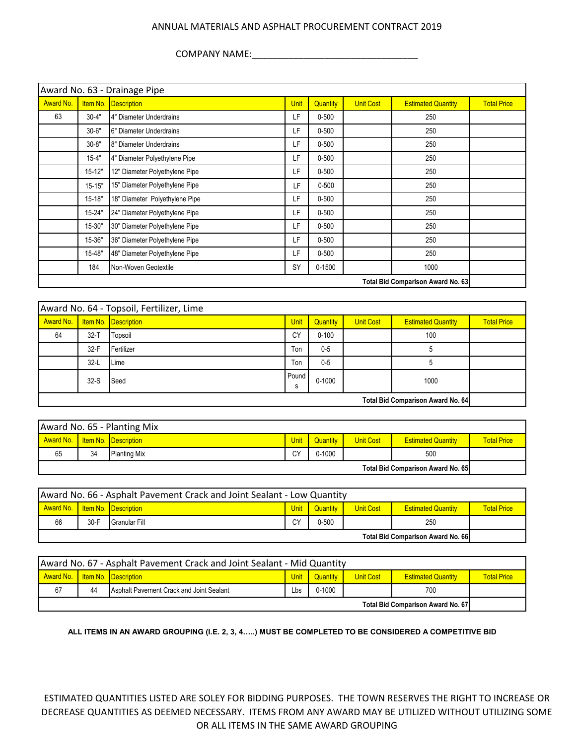COMPANY NAME:\_\_\_\_\_\_\_\_\_\_\_\_\_\_\_\_\_\_\_\_\_\_\_\_\_\_\_\_\_\_\_\_

| Award No. 63 - Drainage Pipe      |            |                                |             |            |                  |                           |                    |  |  |
|-----------------------------------|------------|--------------------------------|-------------|------------|------------------|---------------------------|--------------------|--|--|
| <b>Award No.</b>                  | Item No.   | <b>Description</b>             | <b>Unit</b> | Quantity   | <b>Unit Cost</b> | <b>Estimated Quantity</b> | <b>Total Price</b> |  |  |
| 63                                | $30 - 4"$  | 4" Diameter Underdrains        | LF          | $0 - 500$  |                  | 250                       |                    |  |  |
|                                   | $30 - 6"$  | 6" Diameter Underdrains        | LF          | $0 - 500$  |                  | 250                       |                    |  |  |
|                                   | $30 - 8"$  | 8" Diameter Underdrains        | LF          | $0 - 500$  |                  | 250                       |                    |  |  |
|                                   | $15 - 4"$  | 4" Diameter Polyethylene Pipe  | LF          | $0 - 500$  |                  | 250                       |                    |  |  |
|                                   | $15 - 12"$ | 12" Diameter Polyethylene Pipe | LF          | $0 - 500$  |                  | 250                       |                    |  |  |
|                                   | $15 - 15"$ | 15" Diameter Polyethylene Pipe | LF          | $0 - 500$  |                  | 250                       |                    |  |  |
|                                   | $15 - 18"$ | 18" Diameter Polyethylene Pipe | LF          | $0 - 500$  |                  | 250                       |                    |  |  |
|                                   | $15 - 24"$ | 24" Diameter Polyethylene Pipe | LF          | $0 - 500$  |                  | 250                       |                    |  |  |
|                                   | 15-30"     | 30" Diameter Polyethylene Pipe | LF          | $0 - 500$  |                  | 250                       |                    |  |  |
|                                   | 15-36"     | 36" Diameter Polyethylene Pipe | LF          | $0 - 500$  |                  | 250                       |                    |  |  |
|                                   | 15-48"     | 48" Diameter Polyethylene Pipe | LF          | $0 - 500$  |                  | 250                       |                    |  |  |
|                                   | 184        | Non-Woven Geotextile           | <b>SY</b>   | $0 - 1500$ |                  | 1000                      |                    |  |  |
| Total Bid Comparison Award No. 63 |            |                                |             |            |                  |                           |                    |  |  |

| Award No. 64 - Topsoil, Fertilizer, Lime |          |            |             |            |                  |                           |                    |  |
|------------------------------------------|----------|------------|-------------|------------|------------------|---------------------------|--------------------|--|
| Award No.   Item No. Description         |          |            | <b>Unit</b> | Quantity   | <b>Unit Cost</b> | <b>Estimated Quantity</b> | <b>Total Price</b> |  |
| 64                                       | $32 - T$ | Topsoil    | CY          | $0 - 100$  |                  | 100                       |                    |  |
|                                          | $32-F$   | Fertilizer | Ton         | $0 - 5$    |                  |                           |                    |  |
|                                          | $32-L$   | Lime       | Ton         | $0 - 5$    |                  |                           |                    |  |
|                                          | $32-S$   | Seed       | Pound<br>ъ  | $0 - 1000$ |                  | 1000                      |                    |  |
| <b>Total Bid Comparison Award No. 64</b> |          |            |             |            |                  |                           |                    |  |

| Award No. 65 - Planting Mix              |    |                     |      |            |                  |                           |                    |
|------------------------------------------|----|---------------------|------|------------|------------------|---------------------------|--------------------|
| Award No.   Item No.   Description       |    |                     | Unit | Quantity   | <b>Unit Cost</b> | <b>Estimated Quantity</b> | <b>Total Price</b> |
| 65                                       | 34 | <b>Planting Mix</b> | CY   | $0 - 1000$ |                  | 500                       |                    |
| <b>Total Bid Comparison Award No. 65</b> |    |                     |      |            |                  |                           |                    |

| Award No. 66 - Asphalt Pavement Crack and Joint Sealant - Low Quantity                                                               |        |               |    |           |  |     |  |  |
|--------------------------------------------------------------------------------------------------------------------------------------|--------|---------------|----|-----------|--|-----|--|--|
| Award No.   Item No.   Description<br>Quantity<br><b>Unit Cost</b><br><b>Total Price</b><br><b>Unit</b><br><b>Estimated Quantity</b> |        |               |    |           |  |     |  |  |
| 66                                                                                                                                   | $30-F$ | Granular Fill | СY | $0 - 500$ |  | 250 |  |  |
| <b>Total Bid Comparison Award No. 66</b>                                                                                             |        |               |    |           |  |     |  |  |

| Award No. 67 - Asphalt Pavement Crack and Joint Sealant - Mid Quantity                                                                    |    |                                          |     |            |  |     |  |
|-------------------------------------------------------------------------------------------------------------------------------------------|----|------------------------------------------|-----|------------|--|-----|--|
| <b>Award No. I Item No. Description</b><br><b>Quantity</b><br><b>Unit Cost</b><br>Unit<br><b>Total Price</b><br><b>Estimated Quantity</b> |    |                                          |     |            |  |     |  |
| 67                                                                                                                                        | 44 | Asphalt Pavement Crack and Joint Sealant | Lbs | $0 - 1000$ |  | 700 |  |
| <b>Total Bid Comparison Award No. 67</b>                                                                                                  |    |                                          |     |            |  |     |  |

**ALL ITEMS IN AN AWARD GROUPING (I.E. 2, 3, 4…..) MUST BE COMPLETED TO BE CONSIDERED A COMPETITIVE BID**

ESTIMATED QUANTITIES LISTED ARE SOLEY FOR BIDDING PURPOSES. THE TOWN RESERVES THE RIGHT TO INCREASE OR DECREASE QUANTITIES AS DEEMED NECESSARY. ITEMS FROM ANY AWARD MAY BE UTILIZED WITHOUT UTILIZING SOME OR ALL ITEMS IN THE SAME AWARD GROUPING